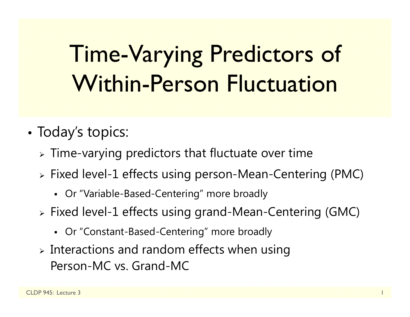# Time-Varying Predictors of Within-Person Fluctuation

- • Today's topics:
	- $\triangleright$  Time-varying predictors that fluctuate over time
	- Fixed level-1 effects using person-Mean-Centering (PMC)
		- Or "Variable-Based-Centering" more broadly
	- Fixed level-1 effects using grand-Mean-Centering (GMC)
		- Or "Constant-Based-Centering" more broadly
	- $\triangleright$  Interactions and random effects when using Person-MC vs. Grand-MC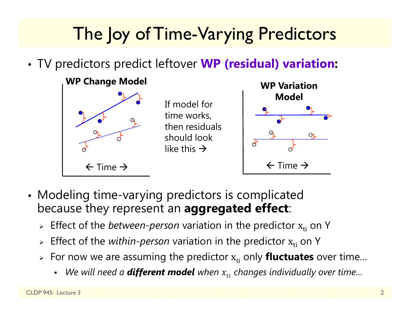## The Joy of Time-Varying Predictors

•TV predictors predict leftover **WP (residual) variation:**



- Modeling time-varying predictors is complicated because they represent an **aggregated effect**:
	- **Effect of the** *between-person* **variation in the predictor x<sub>ti</sub> on Y**
	- $\triangleright$  Effect of the *within-person* variation in the predictor  $\boldsymbol{\mathrm{x}}_{\text{ti}}$  on Y
	- **E** For now we are assuming the predictor  $\mathbf{x_{ti}}$  only **fluctuates** over time...
		- *We will need a different model when*  ݐݔ݅ *changes individually over time…*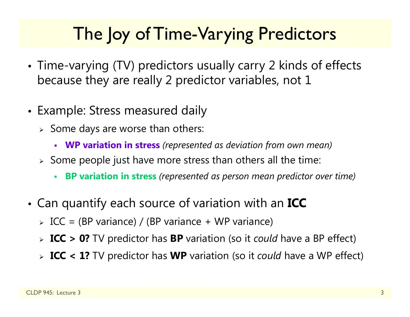## The loy of Time-Varying Predictors

- • Time-varying (TV) predictors usually carry 2 kinds of effects because they are really 2 predictor variables, not 1
- Example: Stress measured daily
	- $\triangleright$  Some days are worse than others:
		- **WP variation in stress** *(represented as deviation from own mean)*
	- $\triangleright$  Some people just have more stress than others all the time:
		- Г **BP variation in stress** *(represented as person mean predictor over time)*
- • Can quantify each source of variation with an **ICC**
	- ICC = (BP variance) / (BP variance + WP variance)
	- **ICC > 0?** TV predictor has **BP** variation (so it *could* have a BP effect)
	- **ICC < 1?** TV predictor has **WP** variation (so it *could* have a WP effect)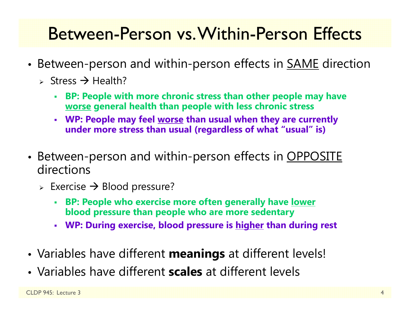## Between-Person vs. Within-Person Effects

- •• Between-person and within-person effects in <u>SAME</u> direction
	- > Stress  $\rightarrow$  Health?
		- **BP: People with more chronic stress than other people may have worse general health than people with less chronic stress**
		- **WP: People may feel worse than usual when they are currently under more stress than usual (regardless of what "usual" is)**
- •• Between-person and within-person effects in <u>OPPOSITE</u> directions
	- $\triangleright$  Exercise  $\rightarrow$  Blood pressure?
		- **BP: People who exercise more often generally have lower blood pressure than people who are more sedentary**
		- **WP: During exercise, blood pressure is higher than during rest**
- •Variables have different **meanings** at different levels!
- Variables have different **scales** at different levels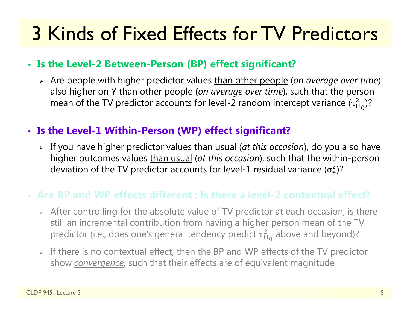## 3 Kinds of Fixed Effects for TV Predictors

#### • **Is the Level-2 Between-Person (BP) effect significant?**

 Are people with higher predictor values than other people (*on average over time*) also higher on Y than other people (*on average over time*), such that the person mean of the TV predictor accounts for level-2 random intercept variance (τ $_{\rm U}^2$  $^{2}_{\rm U_0}$ )?

#### • **Is the Level-1 Within-Person (WP) effect significant?**

 If you have higher predictor values than usual (*at this occasion*), do you also have higher outcomes values than usual (*at this occasion*), such that the within-person deviation of the TV predictor accounts for level-1 residual variance ( $\sigma_{\rm e}^2$ )?

### • **Are BP and WP effects different : Is there a level-2 contextual effect?**

- $\triangleright$  After controlling for the absolute value of TV predictor at each occasion, is there still an incremental contribution from having a higher person mean of the TV predictor (i.e., does one's general tendency predict  $\tau_\mathrm{U}^2$  $^2_{\rm U_0}$  above and beyond)?
- $\triangleright$  If there is no contextual effect, then the BP and WP effects of the TV predictor show *convergence*, such that their effects are of equivalent magnitude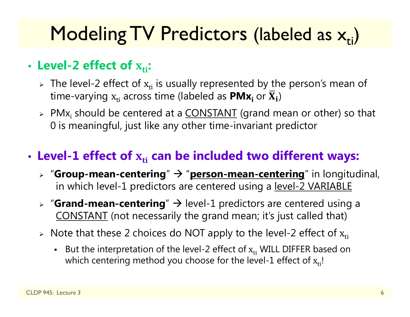## Modeling TV Predictors (labeled as  $\mathsf{x}_{\mathsf{ti}}$ )

### • Level-2 effect of  $\boldsymbol{\mathrm{x_{ti}}}$ :

- $\triangleright$  The level-2 effect of  $\mathrm{x_{ti}}$  is usually represented by the person's mean of time-varying  $\boldsymbol{\mathrm{x}}_\text{ti}$  across time (labeled as  $\boldsymbol{\mathsf{PMx}_\text{i}}$  or  $\boldsymbol{\overline{\mathrm{X}}}_\text{i})$
- > PMx<sub>i</sub> should be centered at a <u>CONSTANT</u> (grand mean or other) so that 0 is meaningful, just like any other time-invariant predictor

### • Level-1 effect of  $\mathbf{x}_{\text{ti}}$  can be included two different ways:

- **▷ "Group-mean-centering" → "<u>person-mean-centering</u>" in longitudinal,** in which level-1 predictors are centered using a level-2 VARIABLE
- **▷ "Grand-mean-centering**" → level-1 predictors are centered using a CONSTANT (not necessarily the grand mean; it's just called that)
- $\triangleright$  Note that these 2 choices do NOT apply to the level-2 effect of  $\rm x_{ti}$ 
	- **But the interpretation of the level-2 effect of**  $x_{ti}$  **WILL DIFFER based on** which centering method you choose for the level-1 effect of  $\rm x_{ti}$ !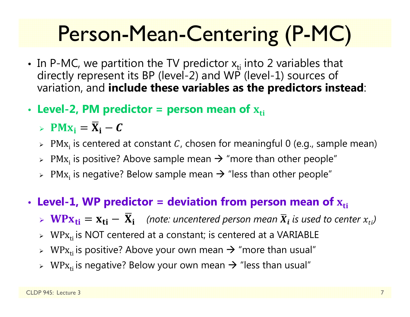# Person-Mean-Centering (P-MC)

- In P-MC, we partition the TV predictor  $x_{ti}$  into 2 variables that directly represent its BP (level-2) and WP (level-1) sources of variation, and **include these variables as the predictors instead**:
- Level-2, PM predictor = person mean of  $\mathbf{x}_{\text{ti}}$ 
	- >  $PMx_i = \overline{X}_i C$
	- $\triangleright$  PM $\mathrm{x}_{\mathrm{i}}$  is centered at constant  ${\mathcal{C}}$ , chosen for meaningful 0 (e.g., sample mean)
	- $\triangleright$  PM $\mathrm{x_i}$  is positive? Above sample mean  $\rightarrow$  "more than other people"
	- $\triangleright$  PM $\mathrm{x_i}$  is negative? Below sample mean  $\rightarrow$  "less than other people"
- Level-1, WP predictor = deviation from person mean of  $\boldsymbol{\mathrm{x}}_\text{ti}$ 
	- $\triangleright \ \mathbf{W} \mathbf{P} \mathbf{x_{ti}} = \mathbf{x_{ti}} \overline{\mathbf{X}}_i$  (note: uncentered person mean  $\overline{X}_i$  is used to center  $x_{ti}$ )
	- $\triangleright$  WP $\rm x_{ti}$  is NOT centered at a constant; is centered at a VARIABLE
	- $\triangleright$  WP $\rm x_{ti}$  is positive? Above your own mean  $\rightarrow$  "more than usual"
	- $\triangleright$  WP $\rm x_{ti}$  is negative? Below your own mean  $\rightarrow$  "less than usual"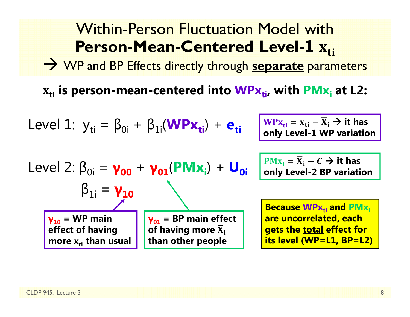#### Within-Person Fluctuation Model with**Person-Mean-Centered Level-1** $\Lambda_{ti}$

WP and BP Effects directly through **separate** parameters

 $\mathbf{x_{ti}}$  is person-mean-centered into  $\mathbf{W}\mathsf{P}\mathbf{x_{ti}}$ , with  $\mathsf{P}\mathsf{M}\mathbf{x_i}$  at L2:

Level 1: 
$$
y_{ti} = \beta_{0i} + \beta_{1i}(\mathbf{W} \mathbf{P} \mathbf{x_{ti}}) + \mathbf{e_{ti}}
$$

$$
\frac{\mathbf{W} \mathbf{P} \mathbf{x}_{ti}}{\mathbf{W} \mathbf{P} \mathbf{x}_{ti}} = \mathbf{x}_{ti} - \overline{\mathbf{X}}_i \rightarrow \text{it has}
$$
 only Level-1 WP variation

Level 2: 
$$
\beta_{0i} = \gamma_{00} + \gamma_{01}(\text{PMx}_{i}) + U_{0i}
$$

\n $\beta_{1i} = \gamma_{10}$ 

\n $\gamma_{10} = \text{WP main}$ 

\n $\gamma_{01} = \text{BP main effect}$ 

\neffect of having more  $\overline{x}_{i}$  then  $x_{ti}$  than other people

 $PMx_i = \overline{X}_i - C \rightarrow it$  has **only Level-2 BP variation**

**Because WPx<sub>ti</sub> and PMx**<sub>i</sub> **are uncorrelated, each gets the total effect for its level (WP=L1, BP=L2)**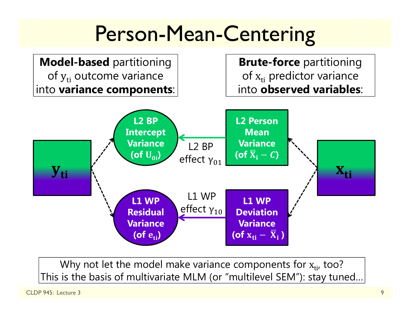

Why not let the model make variance components for  $\mathrm{x}_{\mathsf{ti}'}$  too? This is the basis of multivariate MLM (or "multilevel SEM"): stay tuned…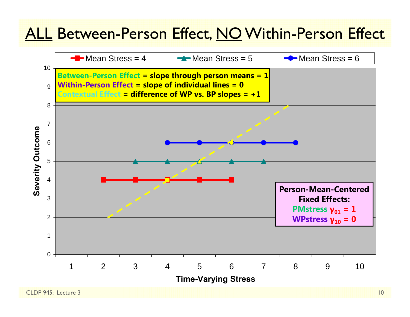### ALL Between-Person Effect, NO Within-Person Effect

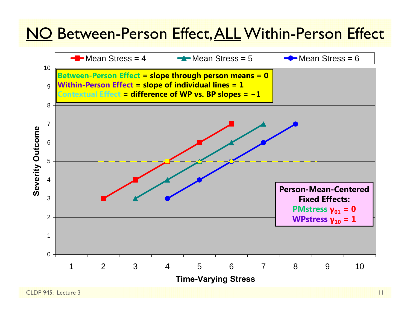### NO Between-Person Effect, ALL Within-Person Effect

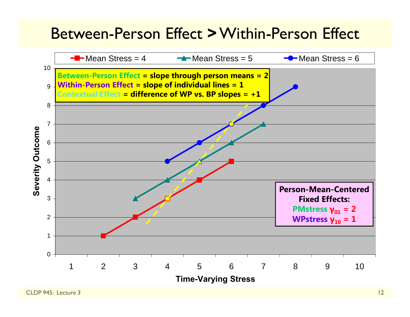### Between-Person Effect **>**Within-Person Effect

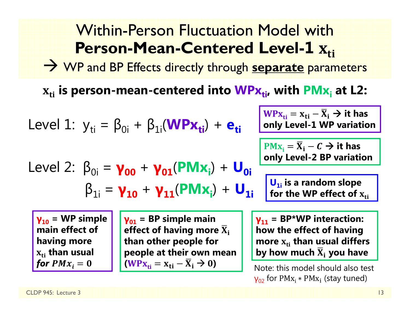#### Within-Person Fluctuation Model with**Person-Mean-Centered Level-1** $\Lambda_{ti}$

WP and BP Effects directly through **separate** parameters

 $\mathbf{x_{ti}}$  is person-mean-centered into  $\mathbf{W}\mathsf{P}\mathbf{x_{ti}}$ , with  $\mathsf{P}\mathsf{M}\mathbf{x_i}$  at L2:

Level 1: 
$$
y_{ti} = \beta_{0i} + \beta_{1i}(\text{WPx}_{ti}) + \mathbf{e}_{ti}
$$

\nLevel 2:  $\beta_{0i} = \gamma_{00} + \gamma_{01}(\text{PMX}_{i}) + \mathbf{U}_{0i}$ 

\nLevel 3:  $\beta_{1i} = \gamma_{10} + \gamma_{11}(\text{PMX}_{i}) + \mathbf{U}_{0i}$ 

\nRule 4:  $\beta_{1i} = \gamma_{10} + \gamma_{11}(\text{PMX}_{i}) + \mathbf{U}_{1i}$ 

\nOutput

\nExample 5:  $\beta_{1i} = \gamma_{10} + \gamma_{11}(\text{PMX}_{i}) + \mathbf{U}_{1i}$ 

\nOutput

\nExample 6:  $\beta_{1i} = \gamma_{10} + \gamma_{11}(\text{PMX}_{i}) + \mathbf{U}_{1i}$ 

\nExample 6:  $\beta_{1i} = \gamma_{10} + \gamma_{11}(\text{PMX}_{i}) + \mathbf{U}_{1i}$ 

\nExample 7:  $\beta_{1i} = \gamma_{10} + \gamma_{11}(\text{PMX}_{i}) + \mathbf{U}_{1i}$ 

\nExample 8:  $\beta_{1i} = \gamma_{10} + \gamma_{11}(\text{PMX}_{i}) + \mathbf{U}_{1i}$ 

\nExample 1:  $\beta_{1i} = \gamma_{10} + \gamma_{11}(\text{PMX}_{i}) + \mathbf{U}_{1i}$ 

\nExample 1:  $\beta_{1i} = \gamma_{10} + \gamma_{11}(\text{PMX}_{i}) + \mathbf{U}_{1i}$ 

\nExample 1:  $\beta_{1i} = \gamma_{10} + \gamma_{11}(\text{PMX}_{i}) + \mathbf{U}_{1i}$ 

\nExample 1:  $\beta_{1i} = \gamma_{10} + \gamma_{11}(\text{PMX}_{i}) + \mathbf{U}_{1i}$ 

\nExample 1:  $\beta_{1i} = \gamma_{10} + \gamma_{11}(\text{PMX}_{i}) + \mathbf{U}_{1i}$ 

**γ10 = WP simple main effect of having more**   $\mathbf{x}_{\text{ti}}$  than usual for  $PMx_{\widetilde{t}}=0$ 

**γ01 = BP simple main**  effect of having more  $\overline{\mathbf{X}}_\text{i}$ **than other people for people at their own mean**   $(WPx_{ti} = x_{ti} - \overline{X}_i \rightarrow 0)$ 

**γ11 = BP\*WP interaction: how the effect of having more**  ܜܠܑ **than usual differs by how much**  ܆ഥܑ **you have**

Note: this model should also test  $\gamma_{02}$  for PMx<sub>i</sub>  $*$  PMx<sub>i</sub> (stay tuned)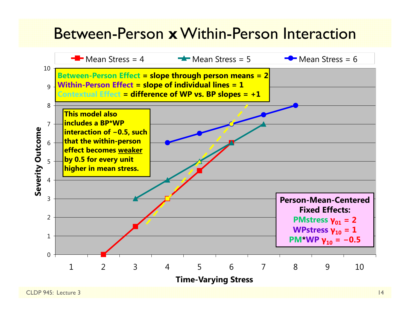### Between-Person **x**Within-Person Interaction

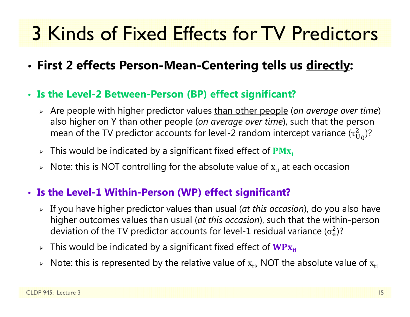# 3 Kinds of Fixed Effects for TV Predictors

- •**First 2 effects Person-Mean-Centering tells us directly:**
- **Is the Level-2 Between-Person (BP) effect significant?**
	- Are people with higher predictor values than other people (*on average over time*) also higher on Y than other people (*on average over time*), such that the person mean of the TV predictor accounts for level-2 random intercept variance (τ $_{\rm U}^2$  $^2_{\rm U_0}$ )?
	- $\triangleright$  This would be indicated by a significant fixed effect of  $\mathbf{PMx_i}$
	- $\triangleright$   $\,$  Note: this is NOT controlling for the absolute value of  $\rm x_{ti}$  at each occasion

#### • **Is the Level-1 Within-Person (WP) effect significant?**

- If you have higher predictor values than usual (*at this occasion*), do you also have higher outcomes values than usual (*at this occasion*), such that the within-person deviation of the TV predictor accounts for level-1 residual variance ( $\sigma_{\rm e}^2$ )?
- $\triangleright$  This would be indicated by a significant fixed effect of  $\mathbf{W}\mathbf{P}\mathbf{x}_{\mathsf{ti}}$
- $\triangleright$  Note: this is represented by the <u>relative</u> value of  $\boldsymbol{\mathrm{x}}_{\text{ti'}}$  NOT the <u>absolute</u> value of  $\boldsymbol{\mathrm{x}}_{\text{ti}}$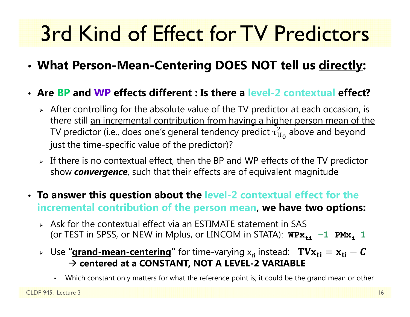# 3rd Kind of Effect for TV Predictors

- **What Person-Mean-Centering DOES NOT tell us directly:**
- **Are BP and WP effects different : Is there a level-2 contextual effect?**
	- $\triangleright$  After controlling for the absolute value of the TV predictor at each occasion, is there still an incremental contribution from having a higher person mean of the TV predictor (i.e., does one's general tendency predict  $\tau^2_{\mathrm{U}}$  $_{\rm U_0}^2$  above and beyond just the time-specific value of the predictor)?
	- $\triangleright$  If there is no contextual effect, then the BP and WP effects of the TV predictor show *convergence*, such that their effects are of equivalent magnitude
- **To answer this question about the level-2 contextual effect for the incremental contribution of the person mean, we have two options:**
	- $\triangleright$  Ask for the contextual effect via an ESTIMATE statement in SAS (or TEST in SPSS, or NEW in Mplus, or LINCOM in STATA):  $W\text{Px}_{\text{t}i}\text{ −}1\text{ PMX}_i$  1
	- ⊳ Use **"<u>grand-mean-centering</u>"** for time-varying  $\boldsymbol{\mathrm{x}}_{\text{ti}}$  instead:  $\textbf{ T}\textbf{V}\textbf{X}_{\textbf{ti}} = \textbf{x}_{\textbf{ti}} \textbf{\textit{C}}$  **centered at a CONSTANT, NOT A LEVEL-2 VARIABLE**
		- Г Which constant only matters for what the reference point is; it could be the grand mean or other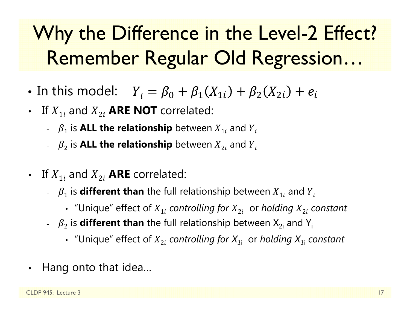# Why the Difference in the Level-2 Effect? Remember Regular Old Regression…

- •• In this model:  $Y_i = \beta_0 + \beta_1(X_{1i}) + \beta_2(X_{2i}) + e_i$
- If  $X_{1i}$  and  $X_{2i}$  **ARE NOT** correlated:
	- $\mathcal{P}_1$  is **ALL the relationship** between  $X_{1i}$  and  $Y_{i}$
	- $~$   $~$   $\beta_2$  is <code>ALL</code> the relationship <code>between</code>  $X_{2i}$  and  $Y_i$
- If  $X_{1i}$  and  $X_{2i}$  **ARE** correlated:
	- $\,\mathcal{P}_1$  is **different than** the full relationship between  $X_{1i}$  and  $Y_i$ 
		- "Unique" effect of  $X_{1i}$  *controlling for*  $X_{2i}$  *or holding*  $X_{2i}$  *constant*
	- $~\overline{\phantom{a}}$   $~\beta_2$  is **different than** the full relationship between  $\mathsf{X}_{2\mathsf{i}}$  and  $\mathsf{Y}_{\mathsf{i}}$ 
		- "Unique" effect of  $X_{2i}$  *controlling for*  $X_{1i}$  *or holding*  $X_{1i}$  *constant*
- •Hang onto that idea…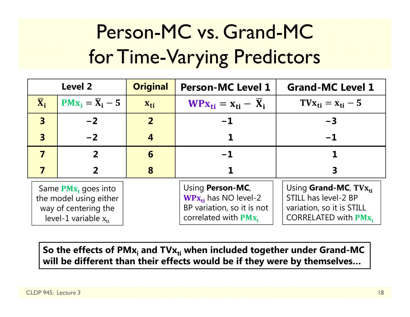# Person-MC vs. Grand-MC for Time-Varying Predictors

| <b>Level 2</b>                                                                                        |                              | <b>Original</b> | <b>Person-MC Level 1</b>                                                                               | <b>Grand-MC Level 1</b>                                                                                                  |
|-------------------------------------------------------------------------------------------------------|------------------------------|-----------------|--------------------------------------------------------------------------------------------------------|--------------------------------------------------------------------------------------------------------------------------|
| $\overline{\mathbf{X}}_i$                                                                             | $PMx_i = \overline{X}_i - 5$ | $X_{ti}$        | $WPX_{ti} = X_{ti} - X_i$                                                                              | $T V_{\rm X_{ti}} = X_{\rm ti} - 5$                                                                                      |
| $\overline{\mathbf{3}}$                                                                               | $-2$                         | $\overline{2}$  | $-1$                                                                                                   | $-3$                                                                                                                     |
| $\overline{\mathbf{3}}$                                                                               | $-2$                         | 4               |                                                                                                        | $-1$                                                                                                                     |
| $\overline{\mathbf{z}}$                                                                               | $\boldsymbol{z}$             | 6               | $-1$                                                                                                   |                                                                                                                          |
|                                                                                                       |                              | 8               |                                                                                                        |                                                                                                                          |
| Same $PMx_i$ goes into<br>the model using either<br>way of centering the<br>level-1 variable $x_{ti}$ |                              |                 | Using Person-MC,<br>$WPx_{ti}$ has NO level-2<br>BP variation, so it is not<br>correlated with $PMx_i$ | Using <b>Grand-MC</b> , $T V x_{ti}$<br>STILL has level-2 BP<br>variation, so it is STILL<br><b>CORRELATED with PMx,</b> |

So the effects of PMx<sub>i</sub> and TVx<sub>ti</sub> when included together under Grand-MC **will be different than their effects would be if they were by themselves…**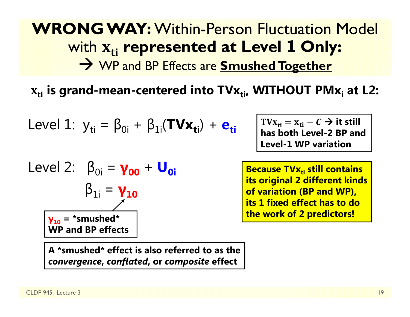### **WRONG WAY:** Within-Person Fluctuation Model with ܜܑ **represented at Level 1 Only:** WP and BP Effects are **Smushed Together**

 $\mathbf{x_{ti}}$  is grand-mean-centered into  $\mathbf{T}\mathbf{V}\mathbf{x_{ti}}$ ,  $\mathbf{W}\mathbf{I}\mathbf{T}\mathbf{H}\mathbf{O}\mathbf{U}\mathbf{T}$   $\mathbf{P}\mathbf{M}\mathbf{x_i}$  at <code>L2:</code>

Level 1: 
$$
y_{ti} = \beta_{0i} + \beta_{1i}(\text{TVx}_{ti}) + e_{ti}
$$

Level 2: 
$$
\beta_{0i} = \gamma_{00} + U_{0i}
$$

\n $\beta_{1i} = \gamma_{10}$ 

\n $\gamma_{10} = \text{``smushed''}$ 

\nWP and BP effects

**A \*smushed\* effect is also referred to as the** *convergence***,** *conflated***, or** *composite* **effect**

 $\text{TVx}_{\text{ti}} = \text{x}_{\text{ti}} - \textcal{C} \rightarrow \text{it still}$ **has both Level-2 BP and Level-1 WP variation** 

**Because TVx<sub>ti</sub> still contains**  $\blacksquare$ **its original 2 different kinds of variation (BP and WP), its 1 fixed effect has to do the work of 2 predictors!**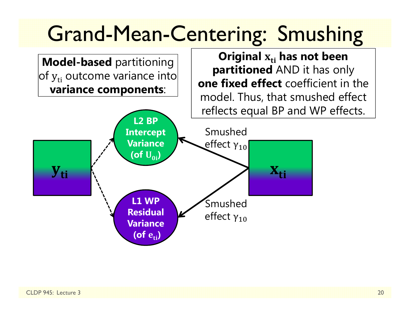# Grand-Mean-Centering: Smushing

Original  $\boldsymbol{\mathrm{x}}_\text{ti}$  has not been

**partitioned** AND it has only

**one fixed effect** coefficient in the

**Model-based** partitioning of  $y_{\rm ti}$  outcome variance into $\mid$ **variance components**:

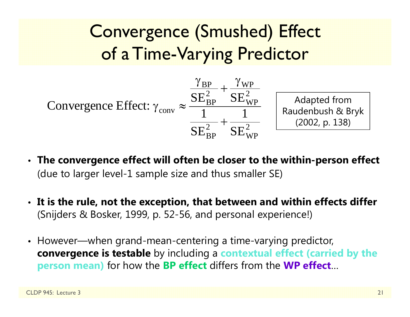Convergence (Smushed) Effect of a Time-Varying Predictor



- **The convergence effect will often be closer to the within-person effect** (due to larger level-1 sample size and thus smaller SE)
- **It is the rule, not the exception, that between and within effects differ** (Snijders & Bosker, 1999, p. 52-56, and personal experience!)
- However—when grand-mean-centering a time-varying predictor, **convergence is testable** by including a **contextual effect (carried by the person mean)** for how the **BP effect** differs from the **WP effect** …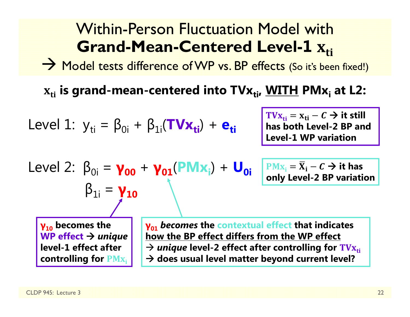#### Within-Person Fluctuation Model with**Grand-Mean-Centered Level-1≖ <u>Ati</u>**

 $\rightarrow$  Model tests difference of WP vs. BP effects (So it's been fixed!)

 $\mathbf{x_{ti}}$  is grand-mean-centered into TV $\mathbf{x_{ti}}$ , <u>WITH</u> PM $\mathbf{x_i}$  at L2:

Level 1: 
$$
y_{ti} = \beta_{0i} + \beta_{1i}(\mathbf{TV} \mathbf{x}_{ti}) + \mathbf{e}_{ti}
$$

 $\text{TVx}_{\text{ti}} = \text{x}_{\text{ti}} - C \rightarrow \text{it still}$ **has both Level-2 BP and Level-1 WP variation** 

Level 2: 
$$
\beta_{0i} = \gamma_{00} + \gamma_{01}(PMx_i) + U_{0i}
$$
  
 $\beta_{1i} = \gamma_{10}$ 

 $\overline{\text{PMx}}_i = \overline{\text{X}}_i - \textit{C} \rightarrow \text{it has}$ **only Level-2 BP variation**

**γ10 becomes the WP effect** *unique* **level-1 effect after controlling for PM**<sub>X<sub>i</sub></sub> **γ01** *becomes* **the contextual effect that indicates how the BP effect differs from the WP effect**  → *unique* level-2 effect after controlling for  $\text{TVx}_{\text{t}i}$ **does usual level matter beyond current level?**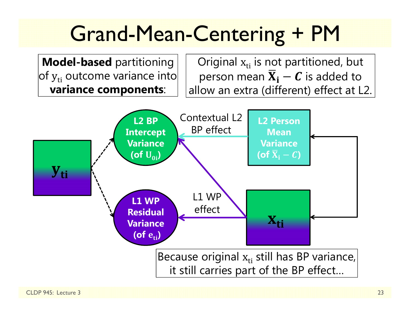# Grand-Mean-Centering + PM

**Model-based** partitioning of  $y_{\rm ti}$  outcome variance into $\mid$ **variance components**:

Original  $\rm x_{ti}$  is not partitioned, but person mean  $\overline{\mathbf{X}}_{\mathbf{i}}-\boldsymbol{\mathcal{C}}$  is added to allow an extra (different) effect at L2.

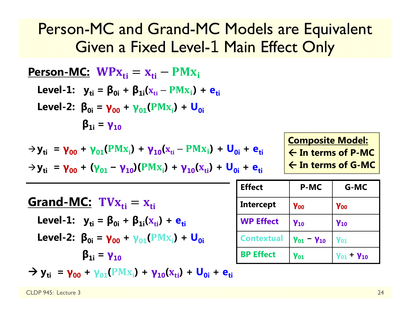### Person-MC and Grand-MC Models are Equivalent Given a Fixed Level-1 Main Effect Only

| <b>Person-MC:</b> $WPx_{ti} = x_{ti} - PMx_i$                                                                   |
|-----------------------------------------------------------------------------------------------------------------|
| Level-1: $y_{ti} = \beta_{0i} + \beta_{1i}(x_{ti} - PMx_i) + e_{ti}$                                            |
| Level-2: $\beta_{0i} = \gamma_{00} + \gamma_{01}(PMx_i) + V_{10}(x_{ti} - PMx_i) + U_{0i}$                      |
| $\rightarrow y_{ti} = \gamma_{00} + \gamma_{01}(PMx_i) + \gamma_{10}(x_{ti} - PMx_i) + U_{0i} + e_{ti}$         |
| $\rightarrow y_{ti} = \gamma_{00} + (\gamma_{01} - \gamma_{10})(PMx_i) + \gamma_{10}(x_{ti}) + U_{0i} + e_{ti}$ |
| <b>Grand-MC:</b> $TVx_{ti} = x_{ti}$                                                                            |
| <b>Grad Second-MC:</b> $TVx_{ti} = x_{ti}$                                                                      |
| <b>Level-1:</b> $y_{ti} = \beta_{0i} + \beta_{1i}(x_{ti}) + e_{ti}$                                             |
| <b>Level-2:</b> $\beta_{0i} = \gamma_{00} + \gamma_{01}(PMx_i) + U_{0i}$                                        |
| <b>graph</b> $\gamma_{01} = \gamma_{10}$                                                                        |

 $\rightarrow$  **y**<sub>ti</sub> =  $\gamma_{00}$  +  $\gamma_{01}$ (PM<sub>X<sub>i</sub>)</sub> +  $\gamma_{10}$ (<sub>X<sub>ti</sub>) + U<sub>0i</sub> + e<sub>ti</sub></sub>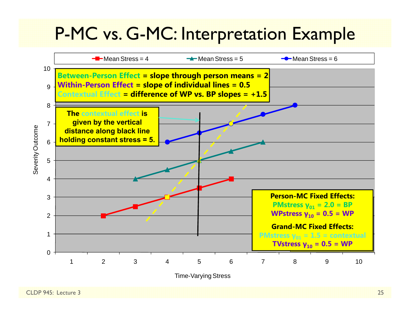## P-MC vs. G-MC: Interpretation Example

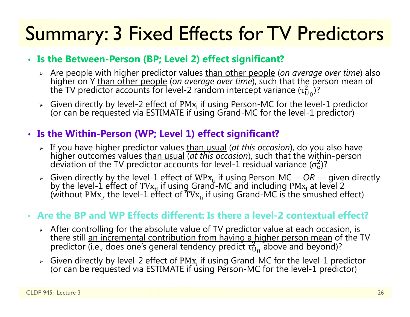## Summary: 3 Fixed Effects for TV Predictors

#### • **Is the Between-Person (BP; Level 2) effect significant?**

- > Are people with higher predictor values than other people (on average over time) also higher on Y than other people (*on average over time*), such that the person mean of the TV predictor accounts for level-2 random intercept variance ( $\tau_{\mathrm{U}}^2$  $\binom{2}{10}$ ?
- $\triangleright$  Given directly by level-2 effect of PM $\rm{x_i}$ (or can be requested via ESTIMATE if using Grand-MC for the level-1 predictor)

#### • **Is the Within-Person (WP; Level 1) effect significant?**

- > If you have higher predictor values than usual (at this occasion), do you also have higher outcomes values than usual *(at this occasion)*, such that the within-person  $\sigma_{\rm e}^2$ )?
- Given directly by the level-1 effect of WPx<sub>ti</sub> if using Person-MC —*OR* given directly by the level-1 effect of TVx<sub>ti</sub> if using Grand-MC and including PMx<sub>i</sub> at level 2 by the level-1 effect of TVx<sub>ti</sub> if using Grand-MC and including PMx<sub>i</sub> at level 2<br>(without PMx<sub>i</sub>, the level-1 effect of TVx<sub>ti</sub> if using Grand-MC is the smushed effect)

#### • **Are the BP and WP Effects different: Is there a level-2 contextual effect?**

- $\triangleright$  After controlling for the absolute value of TV predictor value at each occasion, is there still an incremental contribution from having a higher person mean of the TV predictor (i.e., does one's general tendency predict  $\tau_\mathrm{U}^2$  $_{\rm U_0}^2$  above and beyond)?
- $\triangleright$  Given directly by level-2 effect of PM $\mathbf{x_i}$  if using Grand-MC for the level-1 predictor (or can be requested via ESTIMATE if using Person-MC for the level-1 predictor)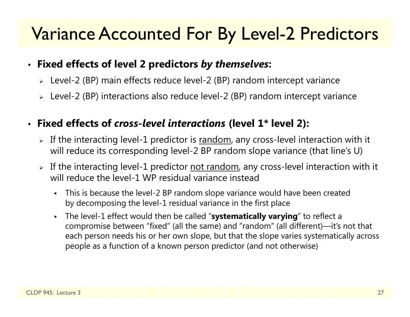## Variance Accounted For By Level-2 Predictors

#### • **Fixed effects of level 2 predictors** *by themselves***:**

- Level-2 (BP) main effects reduce level-2 (BP) random intercept variance
- Level-2 (BP) interactions also reduce level-2 (BP) random intercept variance

#### •**Fixed effects of** *cross-level interactions* **(level 1\* level 2):**

- $\triangleright$  If the interacting level-1 predictor is  $\overline{\text{random}}$ , any cross-level interaction with it will reduce its corresponding level-2 BP random slope variance (that line's U)
- $\triangleright$  If the interacting level-1 predictor <u>not random</u>, any cross-level interaction with it will reduce the level-1 WP residual variance instead
	- This is because the level-2 BP random slope variance would have been created by decomposing the level-1 residual variance in the first place
	- The level-1 effect would then be called "**systematically varying**" to reflect a compromise between "fixed" (all the same) and "random" (all different)—it's not that each person needs his or her own slope, but that the slope varies systematically across people as a function of a known person predictor (and not otherwise)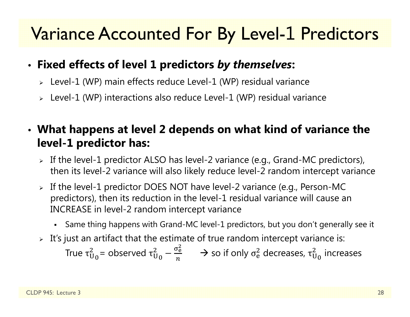## Variance Accounted For By Level-1 Predictors

### • **Fixed effects of level 1 predictors** *by themselves***:**

- Level-1 (WP) main effects reduce Level-1 (WP) residual variance
- Level-1 (WP) interactions also reduce Level-1 (WP) residual variance

### • **What happens at level 2 depends on what kind of variance the level-1 predictor has:**

- $\triangleright$  If the level-1 predictor ALSO has level-2 variance (e.g., Grand-MC predictors), then its level-2 variance will also likely reduce level-2 random intercept variance
- If the level-1 predictor DOES NOT have level-2 variance (e.g., Person-MC predictors), then its reduction in the level-1 residual variance will cause an INCREASE in level-2 random intercept variance
	- Same thing happens with Grand-MC level-1 predictors, but you don't generally see it
- $\triangleright$   $\,$  It's just an artifact that the estimate of true random intercept variance is:

True  $\tau^{\scriptscriptstyle\mathcal{L}}_\mathsf{U}$  $^2_\mathrm{U_0}$ = observed τ $^2_\mathrm{U}$ 2<br>Սօ —  $\sigma_{\rm e}$ మ п  $\rightarrow$  so if only  $\sigma_{\rm e}^2$  $_{\rm e}^2$  decreases,  $\tau_{\rm U}^2$  $_{\rm U_{\rm 0}}^{2}$  increases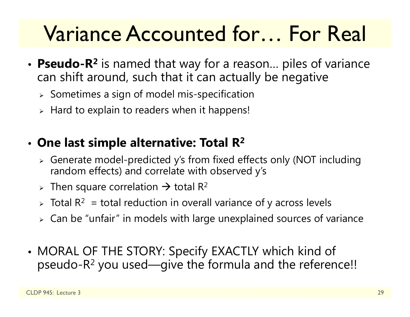# Variance Accounted for… For Real

- **Pseudo-R 2** is named that way for a reason… piles of variance can shift around, such that it can actually be negative
	- $\triangleright$  Sometimes a sign of model mis-specification
	- $\triangleright$  Hard to explain to readers when it happens!

### • **One last simple alternative: Total R 2**

- Generate model-predicted y's from fixed effects only (NOT including random effects) and correlate with observed y's
- > Then square correlation  $\rightarrow$  total R<sup>2</sup>
- $\triangleright$  Total R $^2\,$  = total reduction in overall variance of y across levels
- $\triangleright\;$  Can be "unfair" in models with large unexplained sources of variance
- • MORAL OF THE STORY: Specify EXACTLY which kind of pseudo-R $^2$  you used—give the formula and the reference!!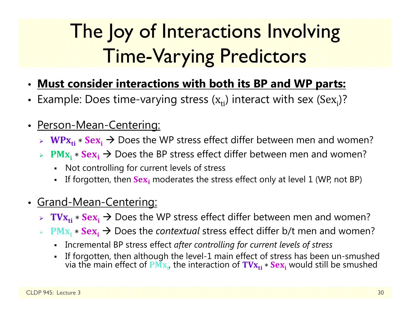# The Joy of Interactions Involving Time-Varying Predictors

- **Must consider interactions with both its BP and WP parts:**
- Example: Does time-varying stress  $(x_{ti})$  interact with sex  $(Sex_{i})$ ?
- • Person-Mean-Centering:
	- $\triangleright$  WPx<sub>ti</sub>  $*$  Sex<sub>i</sub>  $\rightarrow$  Does the WP stress effect differ between men and women?
	- $\triangleright$  PM<sub>X<sub>i</sub>  $\ast$  Sex<sub>i</sub> → Does the BP stress effect differ between men and women?</sub>
		- $\mathbf{r}$ Not controlling for current levels of stress
		- n If forgotten, then  $Sex_i$  moderates the stress effect only at level 1 (WP, not BP)
- Grand-Mean-Centering:
	- $\triangleright$   $\mathbf{TVx_{ti}} * \mathbf{Sex_i} \rightarrow$  Does the WP stress effect differ between men and women?
	- $\Diamond$  PM<sub>X<sub>i</sub> \* Sex<sub>i</sub> → Does the *contextual* stress effect differ b/t men and women?</sub>
		- Incremental BP stress effect *after controlling for current levels of stress*
		- n If forgotten, then although the level-1 main effect of stress has been un-smushed<br>via the main effect of PM<sub>X<sub>i</sub>, the interaction of TV<sub>X<sub>ti</sub> ∗ Sex<sub>i</sub> would still be smushed</sub></sub>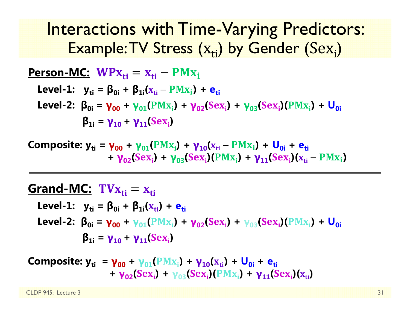## Interactions with Time-Varying Predictors: Example: $\mathsf{TV}$  Stress  $(\mathrm{x}_{\mathrm{ti}})$  by Gender  $(\mathrm{Sex}_\mathrm{i})$

| Person-MC: $WPx_{ti} = x_{ti} - PMx_i$                                                                             |
|--------------------------------------------------------------------------------------------------------------------|
| Level-1: $y_{ti} = \beta_{0i} + \beta_{1i}(x_{ti} - PMx_i) + e_{ti}$                                               |
| Level-2: $\beta_{0i} = \gamma_{00} + \gamma_{01}(PMx_i) + \gamma_{02}(Sex_i) + \gamma_{03}(Sex_i)(PMx_i) + U_{0i}$ |
| $\beta_{1i} = \gamma_{10} + \gamma_{11}(Sex_i)$                                                                    |

**Composite: y<sub>ti</sub> = γ<sub>00</sub> + γ<sub>01</sub>(PMx<sub>i</sub>) + γ<sub>10</sub>(x<sub>ti</sub> – PMx<sub>i</sub>) + U<sub>0i</sub> + e<sub>ti</sub> + γ**<sub>02</sub>(Sex<sub>i</sub>) + **γ**<sub>03</sub>(Sex<sub>i</sub>)(PMx<sub>i</sub>) + **γ**<sub>11</sub>(Sex<sub>i</sub>)(x<sub>ti</sub> – PMx<sub>i</sub>)

### **Grand-MC:** ܜܠ܄܂ܑൌ ܑܜܠ

Level-1: 
$$
y_{ti} = \beta_{0i} + \beta_{1i}(x_{ti}) + e_{ti}
$$

\nLevel-2: 
$$
\beta_{0i} = \gamma_{00} + \gamma_{01}(PMx_i) + \gamma_{02}(Sex_i) + \gamma_{03}(Sex_i)(PMx_i) + U_{0i}
$$

\n
$$
\beta_{1i} = \gamma_{10} + \gamma_{11}(Sex_i)
$$

 ${\bf Composite:}$   ${\bf y_{ti}}$  =  ${\bf \gamma_{00}}$  +  ${\bf \gamma_{01}}({\rm PMx_{i}})$  +  ${\bf \gamma_{10}}({\rm x_{ti}})$  +  ${\bf \sf U_{0i}}$  +  ${\bf e_{ti}}$ **+ γ**<sub>02</sub>(Sex<sub>i</sub>) + γ<sub>03</sub>(Sex<sub>i</sub>)(PMx<sub>i</sub>) + γ<sub>11</sub>(Sex<sub>i</sub>)(x<sub>ti</sub>)

CLDP 945: Lecture 3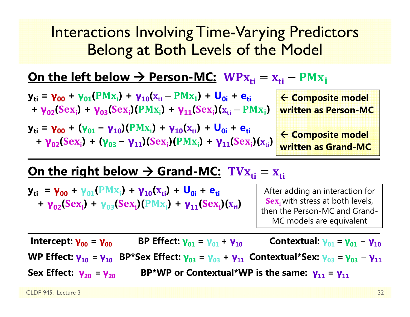### Interactions Involving Time-Varying Predictors Belong at Both Levels of the Model

<u> On the left below → Person-MC: WPx<sub>ti</sub> = x<sub>ti</sub> – PMx<sub>i</sub></u>

 ${\bf y_{ti}}$  =  ${\bf y_{00}}$  +  ${\bf y_{01}} (PM{\bf x_i})$  +  ${\bf y_{10}} ({\bf x_{ti}} - PM{\bf x_i})$  +  ${\bf U_{0i}}$  +  ${\bf e_{ti}}$ **+ γ**<sub>02</sub>(Sex<sub>i</sub>) + **γ**<sub>03</sub>(Sex<sub>i</sub>)(PMx<sub>i</sub>) + **γ**<sub>11</sub>(Sex<sub>i</sub>)(x<sub>ti</sub> – PMx<sub>i</sub>)

**y**<sub>ti</sub> = **γ**<sub>00</sub> + (**γ**<sub>01</sub> − **γ**<sub>10</sub>)(PMx<sub>i</sub>) + **γ**<sub>10</sub>(x<sub>ti</sub>) + U<sub>0i</sub> + e<sub>ti</sub>  $+ \gamma_{02}(Sex_i) + (\gamma_{03} - \gamma_{11})(Sex_i)(PMx_i) + \gamma_{11}(Sex_i)(x_{ti})$ 

 **Composite model written as Person-MC** 

 **Composite model written as Grand-MC**

### <u> On the right below → Grand-MC: TV $\boldsymbol{\mathrm{x}}_{\text{ti}} = \boldsymbol{\mathrm{x}}_{\text{ti}}$ </u>

 ${\bf y_{ti}}$  =  ${\bf y_{00}}$  +  ${\bf y_{01}}$ ( ${\bf PMx_i}$ ) +  ${\bf y_{10}}$ ( ${\bf x_{ti}}$ ) +  ${\bf U_{0i}}$  +  ${\bf e_{ti}}$ **+ γ**<sub>02</sub>(Sex<sub>i</sub>) + γ<sub>03</sub>(Sex<sub>i</sub>)(PMx<sub>i</sub>) + γ<sub>11</sub>(Sex<sub>i</sub>)(x<sub>ti</sub>)

After adding an interaction for  ${\bf Sex}_{\bf i}$  with stress at both levels, then the Person-MC and Grand-MC models are equivalent

**Intercept: γ00 <sup>=</sup> γ00 BP Effect: γ01= γ01+ γ10Contextual: γ**<sub>01</sub> = **γ**<sub>01</sub> − **γ**<sub>10</sub> **WP Effect: γ10 = γ10 BP\*Sex Effect: γ03 <sup>=</sup> γ03 + γ11 Contextual\*Sex: γ03 = γ03** − **γ11 Sex Effect: γ20= γ20BP\*WP or Contextual\*WP is the same: γ11 <sup>=</sup> γ11**

CLDP 945: Lecture 3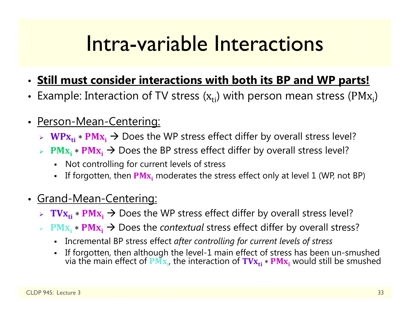## Intra-variable Interactions

- **Still must consider interactions with both its BP and WP parts!**
- Example: Interaction of TV stress ( $\mathbf{x_{ti}}$ ) with person mean stress (PM $\mathbf{x_i}$ )
- $\bullet$  Person-Mean-Centering:
	- $\triangleright$  WPx<sub>ti</sub>  $\ast$  PMx<sub>i</sub> → Does the WP stress effect differ by overall stress level?
	- $\triangleright$  PM<sub>X<sub>i</sub>  $\ast$  PM<sub>X<sub>i</sub></sub> → Does the BP stress effect differ by overall stress level?</sub>
		- Not controlling for current levels of stress
		- n **-** If forgotten, then  $\overline{PMx_i}$  moderates the stress effect only at level 1 (WP, not BP)
- Grand-Mean-Centering:
	- $▶$  TV $\mathbf{x_{ti}} * \mathbf{P} \mathbf{M} \mathbf{x_i} \rightarrow \mathbf{D}$ oes the WP stress effect differ by overall stress level?
	- **► PM<sub>X<sub>i</sub> \* PM<sub>X<sub>i</sub> → Does the** *contextual* **stress effect differ by overall stress?**</sub></sub>
		- Incremental BP stress effect *after controlling for current levels of stress*
		- n If forgotten, then although the level-1 main effect of stress has been un-smushed<br>via the main effect of PM<sub>X<sub>i</sub>, the interaction of TV<sub>X<sub>ti</sub> ∗ PM<sub>X<sub>i</sub></sub> would still be smushed</sub></sub>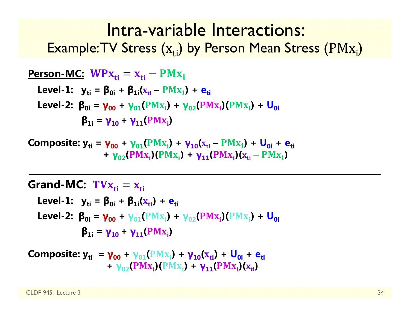### Intra-variable Interactions: Example: $\mathsf{TV}$  Stress  $\mathsf{(x_{ti})}$  by Person Mean Stress  $(\text{PMx_{i}})$

| Person-MC: $WPx_{ti} = x_{ti} - PMx_i$                                                        |
|-----------------------------------------------------------------------------------------------|
| Level-1: $y_{ti} = \beta_{0i} + \beta_{1i}(x_{ti} - PMx_i) + e_{ti}$                          |
| Level-2: $\beta_{0i} = \gamma_{00} + \gamma_{01}(PMx_i) + \gamma_{02}(PMx_i)(PMx_i) + U_{0i}$ |
| $\beta_{1i} = \gamma_{10} + \gamma_{11}(PMx_i)$                                               |

**Composite: y<sub>ti</sub> = γ<sub>00</sub> + γ<sub>01</sub>(PMx<sub>i</sub>) + γ<sub>10</sub>(x<sub>ti</sub> – PMx<sub>i</sub>) + U<sub>0i</sub> + e<sub>ti</sub> + γ**<sub>02</sub>(PMx<sub>i</sub>)(PMx<sub>i</sub>) + **γ**<sub>11</sub>(PMx<sub>i</sub>)(x<sub>ti</sub> – PMx<sub>i</sub>)

#### **Grand-MC:** ܜܠ܄܂ܑൌ ܑܜܠ

Level-1: 
$$
y_{ti} = \beta_{0i} + \beta_{1i}(x_{ti}) + e_{ti}
$$

\nLevel-2: 
$$
\beta_{0i} = \gamma_{00} + \gamma_{01}(PMx_i) + \gamma_{02}(PMx_i)(PMx_i) + U_{0i}
$$

\n
$$
\beta_{1i} = \gamma_{10} + \gamma_{11}(PMx_i)
$$

**Composite:** 
$$
y_{ti} = \gamma_{00} + \gamma_{01}(PMx_i) + \gamma_{10}(x_{ti}) + U_{0i} + e_{ti}
$$
  
+  $\gamma_{02}(PMx_i)(PMx_i) + \gamma_{11}(PMx_i)(x_{ti})$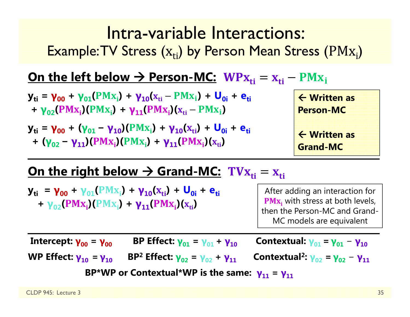### Intra-variable Interactions: Example: $\mathsf{TV}$  Stress  $\mathsf{(x_{ti})}$  by Person Mean Stress  $(\text{PMx_{i}})$

### <u> On the left below → Person-MC: WPx<sub>ti</sub> = x<sub>ti</sub> – PMx<sub>i</sub></u>

- ${\bf y_{ti}}$  =  ${\bf y_{00}}$  +  ${\bf y_{01}} (PM{\bf x_i})$  +  ${\bf y_{10}} ({\bf x_{ti}} PM{\bf x_i})$  +  ${\bf U_{0i}}$  +  ${\bf e_{ti}}$ **+ γ**<sub>02</sub>(PMx<sub>i</sub>)(PMx<sub>i</sub>) + **γ**<sub>11</sub>(PMx<sub>i</sub>)(x<sub>ti</sub> – PMx<sub>i</sub>)
- **y**<sub>ti</sub> = **γ**<sub>00</sub> + (**γ**<sub>01</sub> − **γ**<sub>10</sub>)(PMx<sub>i</sub>) + **γ**<sub>10</sub>(x<sub>ti</sub>) + U<sub>0i</sub> + e<sub>ti</sub> **+** (**γ**<sub>02</sub> – **γ**<sub>11</sub>)(PMx<sub>i</sub>)(PMx<sub>i</sub>) + **γ**<sub>11</sub>(PMx<sub>i</sub>)(x<sub>ti</sub>)



### <u> On the right below → Grand-MC: TV $\boldsymbol{\mathrm{x}}_{\text{ti}} = \boldsymbol{\mathrm{x}}_{\text{ti}}$ </u>

 ${\bf y_{ti}}$  =  ${\bf y_{00}}$  +  ${\bf y_{01}}$ ( ${\bf PMx_i}$ ) +  ${\bf y_{10}}$ ( ${\bf x_{ti}}$ ) +  ${\bf U_{0i}}$  +  ${\bf e_{ti}}$ **+ γ**<sub>02</sub>(PMx<sub>i</sub>)(PMx<sub>i</sub>) + **γ**<sub>11</sub>(PMx<sub>i</sub>)(x<sub>ti</sub>)

After adding an interaction for  $\textbf{PMx}_{i}$  with stress at both levels, then the Person-MC and Grand-MC models are equivalent

**Intercept: γ00 <sup>=</sup> γ BP Effect: γ01= γ01+ γ Contextual: γ01= γ01**− **γWP Effect: γ10 = γ BP 2 Effect: γ02 <sup>=</sup> γ02+ γ**<sub>11</sub> **Contextual<sup>2</sup>: γ<sub>02</sub> = γ<sub>02</sub> − γ<sub>11</sub> BP\*WP or Contextual\*WP is the same: γ11 <sup>=</sup> γ**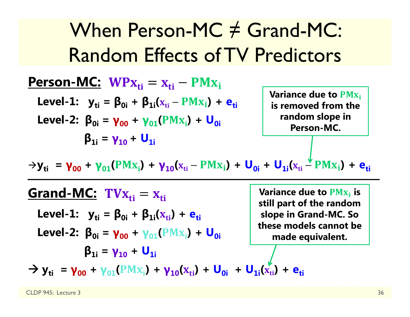When Person-MC ≠ Grand-MC: Random Effects of TV Predictors

ܑܜ ܑܜ **:MC-Person** ܑ ${\bf L}$ evel-1:  ${\bf y}_{{\bf ti}} = {\bf \beta}_{{\bf 0}{\bf i}} + {\bf \beta}_{{\bf 1}{\bf i}}({\bf x}_{{\bf ti}} - {\bf PMx}_{\bf i}) + {\bf e}_{{\bf ti}}$ **Level-2:**  $\beta_{0i} = \gamma_{00} + \gamma_{01} (PMx_{i}) + U_{0i}$ **β1i <sup>=</sup> γ10 <sup>+</sup> U1i**

**Variance due to PM<sub>X<sub>i</sub></sub> is removed from the random slope in Person-MC.** 

 $\rightarrow$ **y**<sub>ti</sub> = **γ**<sub>00</sub> + **γ**<sub>01</sub>(PMx<sub>i</sub>) + **γ**<sub>10</sub>(x<sub>ti</sub> – PMx<sub>i</sub>) + **U<sub>0i</sub>** + **U<sub>1i</sub>(x<sub>ti</sub> – PMx<sub>i</sub>) + e<sub>ti</sub>** 

<u>Grand-MC:</u> TV $\mathbf{x_{ti}} = \mathbf{x_{ti}}$  ${\sf Level\text{-}1:} \quad {\sf y}_{\sf ti} = {\sf \beta}_{0i} + {\sf \beta}_{1i}({\sf x}_{\sf ti}) + {\sf e}_{\sf ti}$ **Level-2: β0i <sup>=</sup> γ00 <sup>+</sup> γ01 + (**ܑܠۻ۾**) U0iβ1i <sup>=</sup> γ10 <sup>+</sup> U1i** $\rightarrow$  **y**<sub>ti</sub> =  $\gamma_{00}$  +  $\gamma_{01}$ (PMx<sub>i</sub>) +  $\gamma_{10}(x_{ti})$  +  $\mathbf{U}_{0i}$  +  $\mathbf{U}_{1i}(x_{ti})$  +  $\mathbf{e}_{ti}$ **Variance due to**  $\mathbf{PMx_i}$  **is still part of the random slope in Grand-MC. So these models cannot be made equivalent.**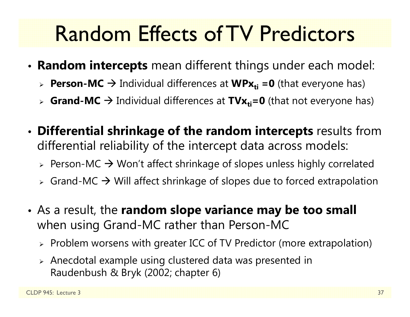# Random Effects of TV Predictors

- • **Random intercepts** mean different things under each model:
	- **► Person-MC →** Individual differences at WPx<sub>ti</sub> =0 (that everyone has)
	- > Grand-MC → Individual differences at TVx<sub>ti</sub>=0 (that not everyone has)
- • **Differential shrinkage of the random intercepts** results from differential reliability of the intercept data across models:
	- $\triangleright$  Person-MC  $\rightarrow$  Won't affect shrinkage of slopes unless highly correlated
	- $\triangleright$  Grand-MC  $\rightarrow$  Will affect shrinkage of slopes due to forced extrapolation
- As a result, the **random slope variance may be too small** when using Grand-MC rather than Person-MC
	- $\triangleright$  Problem worsens with greater ICC of TV Predictor (more extrapolation)
	- $\triangleright$  Anecdotal example using clustered data was presented in Raudenbush & Bryk (2002; chapter 6)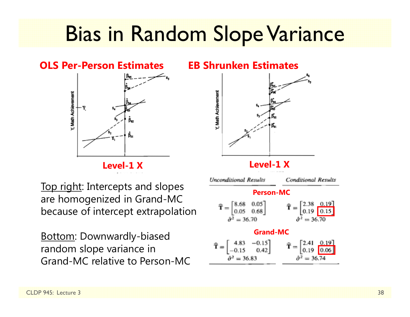# Bias in Random Slope Variance

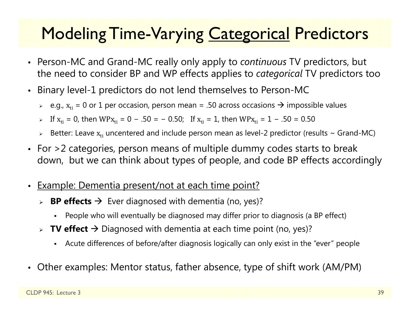## **Modeling Time-Varying Categorical Predictors**

- Person-MC and Grand-MC really only apply to *continuous* TV predictors, but the need to consider BP and WP effects applies to *categorical* TV predictors too
- • Binary level-1 predictors do not lend themselves to Person-MC
	- $\triangleright$   $\,$  e.g.,  $\rm x_{ti}$  = 0 or 1 per occasion, person mean = .50 across occasions  $\boldsymbol{\rightarrow}$  impossible values
	- > If  $x_{ti}$  = 0, then WP $x_{ti}$  = 0 − .50 = − 0.50; If  $x_{ti}$  = 1, then WP $x_{ti}$  = 1 − .50 = 0.50
	- $\triangleright$  Better: Leave  $\rm x_{ti}$  uncentered and include person mean as level-2 predictor (results ~ Grand-MC)
- • For >2 categories, person means of multiple dummy codes starts to break down, but we can think about types of people, and code BP effects accordingly
- •Example: Dementia present/not at each time point?
	- **BP effects →** Ever diagnosed with dementia (no, yes)?
		- Г People who will eventually be diagnosed may differ prior to diagnosis (a BP effect)
	- **► TV effect →** Diagnosed with dementia at each time point (no, yes)?
		- Г Acute differences of before/after diagnosis logically can only exist in the "ever" people
- Other examples: Mentor status, father absence, type of shift work (AM/PM)